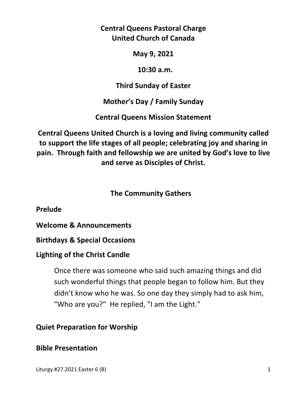**Central Queens Pastoral Charge United Church of Canada** 

**May 9, 2021** 

 **10:30 a.m.** 

**Third Sunday of Easter** 

**Mother's Day / Family Sunday** 

**Central Queens Mission Statement** 

**Central Queens United Church is a loving and living community called to support the life stages of all people; celebrating joy and sharing in pain. Through faith and fellowship we are united by God's love to live and serve as Disciples of Christ.**

# **The Community Gathers**

**Prelude** 

**Welcome & Announcements** 

**Birthdays & Special Occasions** 

### **Lighting of the Christ Candle**

Once there was someone who said such amazing things and did such wonderful things that people began to follow him. But they didn't know who he was. So one day they simply had to ask him, "Who are you?" He replied, "I am the Light."

# **Quiet Preparation for Worship**

# **Bible Presentation**

Liturgy #27.2021 Easter 6 (B) 1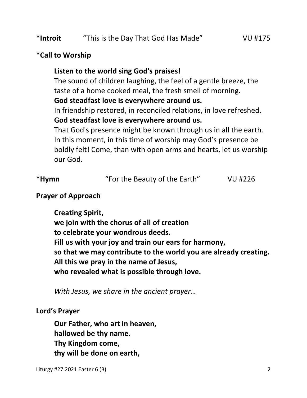### **\*Call to Worship**

### **Listen to the world sing God's praises!**

 The sound of children laughing, the feel of a gentle breeze, the taste of a home cooked meal, the fresh smell of morning.

### **God steadfast love is everywhere around us.**

 In friendship restored, in reconciled relations, in love refreshed. **God steadfast love is everywhere around us.** 

 That God's presence might be known through us in all the earth. In this moment, in this time of worship may God's presence be boldly felt! Come, than with open arms and hearts, let us worship our God.

| *Hymn | "For the Beauty of the Earth" | VU #226 |
|-------|-------------------------------|---------|
|       |                               |         |

### **Prayer of Approach**

 **Creating Spirit, we join with the chorus of all of creation to celebrate your wondrous deeds. Fill us with your joy and train our ears for harmony, so that we may contribute to the world you are already creating. All this we pray in the name of Jesus, who revealed what is possible through love.** 

*With Jesus, we share in the ancient prayer…* 

### **Lord's Prayer**

**Our Father, who art in heaven, hallowed be thy name. Thy Kingdom come, thy will be done on earth,**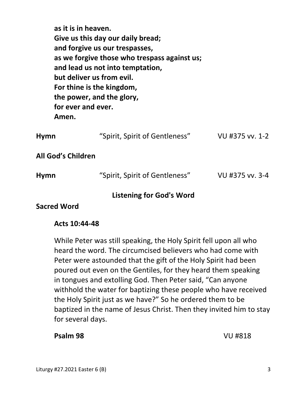| as it is in heaven.<br>for ever and ever.<br>Amen.      | Give us this day our daily bread;<br>and forgive us our trespasses,<br>as we forgive those who trespass against us;<br>and lead us not into temptation,<br>but deliver us from evil.<br>For thine is the kingdom,<br>the power, and the glory, |                 |  |  |
|---------------------------------------------------------|------------------------------------------------------------------------------------------------------------------------------------------------------------------------------------------------------------------------------------------------|-----------------|--|--|
| <b>Hymn</b>                                             | "Spirit, Spirit of Gentleness"                                                                                                                                                                                                                 | VU #375 vv. 1-2 |  |  |
| All God's Children                                      |                                                                                                                                                                                                                                                |                 |  |  |
| Hymn                                                    | "Spirit, Spirit of Gentleness"                                                                                                                                                                                                                 | VU #375 vv. 3-4 |  |  |
| <b>Listening for God's Word</b><br>المسم / ١٨ المصبيم . |                                                                                                                                                                                                                                                |                 |  |  |

### **Sacred Word**

#### **Acts 10:44-48**

 While Peter was still speaking, the Holy Spirit fell upon all who heard the word. The circumcised believers who had come with Peter were astounded that the gift of the Holy Spirit had been poured out even on the Gentiles, for they heard them speaking in tongues and extolling God. Then Peter said, "Can anyone withhold the water for baptizing these people who have received the Holy Spirit just as we have?" So he ordered them to be baptized in the name of Jesus Christ. Then they invited him to stay for several days.

#### **Psalm 98** VU #818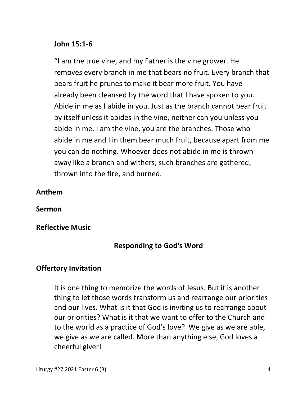#### **John 15:1-6**

"I am the true vine, and my Father is the vine grower. He removes every branch in me that bears no fruit. Every branch that bears fruit he prunes to make it bear more fruit. You have already been cleansed by the word that I have spoken to you. Abide in me as I abide in you. Just as the branch cannot bear fruit by itself unless it abides in the vine, neither can you unless you abide in me. I am the vine, you are the branches. Those who abide in me and I in them bear much fruit, because apart from me you can do nothing. Whoever does not abide in me is thrown away like a branch and withers; such branches are gathered, thrown into the fire, and burned.

### **Anthem**

**Sermon** 

### **Reflective Music**

# **Responding to God's Word**

### **Offertory Invitation**

 It is one thing to memorize the words of Jesus. But it is another thing to let those words transform us and rearrange our priorities and our lives. What is it that God is inviting us to rearrange about our priorities? What is it that we want to offer to the Church and to the world as a practice of God's love? We give as we are able, we give as we are called. More than anything else, God loves a cheerful giver!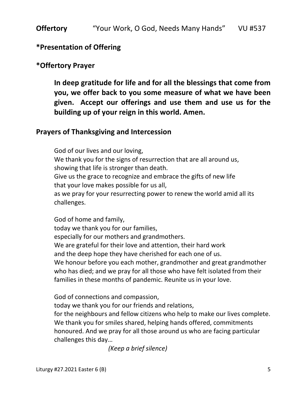#### **\*Presentation of Offering**

#### **\*Offertory Prayer**

**In deep gratitude for life and for all the blessings that come from you, we offer back to you some measure of what we have been given. Accept our offerings and use them and use us for the building up of your reign in this world. Amen.** 

#### **Prayers of Thanksgiving and Intercession**

God of our lives and our loving, We thank you for the signs of resurrection that are all around us, showing that life is stronger than death. Give us the grace to recognize and embrace the gifts of new life that your love makes possible for us all, as we pray for your resurrecting power to renew the world amid all its challenges.

 God of home and family, today we thank you for our families, especially for our mothers and grandmothers. We are grateful for their love and attention, their hard work and the deep hope they have cherished for each one of us. We honour before you each mother, grandmother and great grandmother who has died; and we pray for all those who have felt isolated from their families in these months of pandemic. Reunite us in your love.

God of connections and compassion,

today we thank you for our friends and relations,

 for the neighbours and fellow citizens who help to make our lives complete. We thank you for smiles shared, helping hands offered, commitments honoured. And we pray for all those around us who are facing particular challenges this day…

 *(Keep a brief silence)*